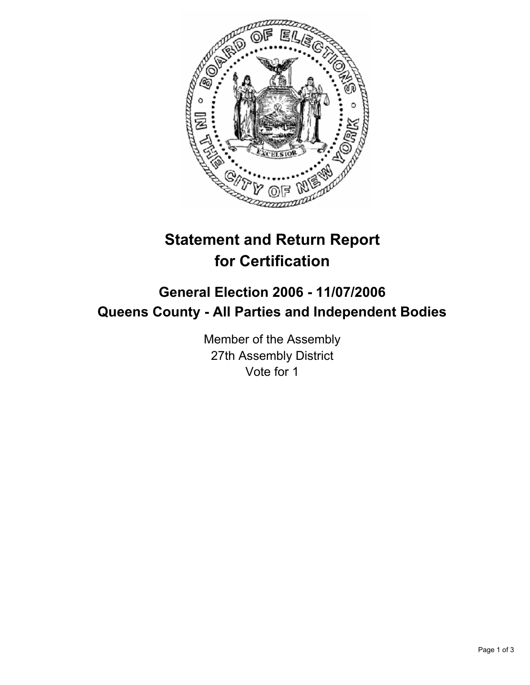

# **Statement and Return Report for Certification**

## **General Election 2006 - 11/07/2006 Queens County - All Parties and Independent Bodies**

Member of the Assembly 27th Assembly District Vote for 1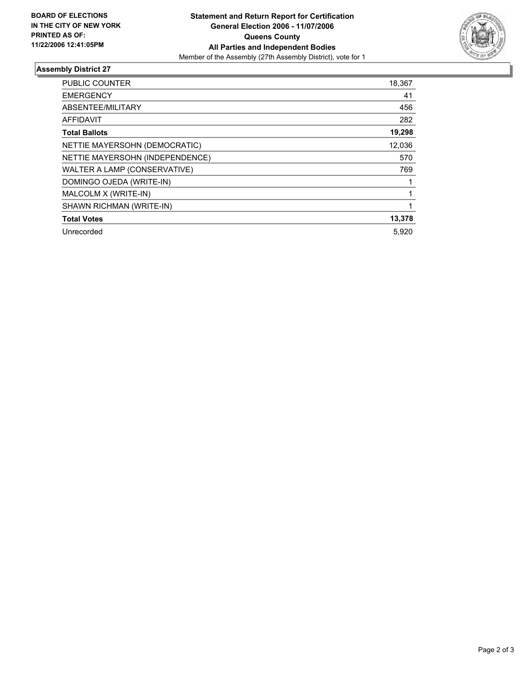

### **Assembly District 27**

| <b>PUBLIC COUNTER</b>           | 18,367 |
|---------------------------------|--------|
| <b>EMERGENCY</b>                | 41     |
| ABSENTEE/MILITARY               | 456    |
| <b>AFFIDAVIT</b>                | 282    |
| <b>Total Ballots</b>            | 19,298 |
| NETTIE MAYERSOHN (DEMOCRATIC)   | 12,036 |
| NETTIE MAYERSOHN (INDEPENDENCE) | 570    |
| WALTER A LAMP (CONSERVATIVE)    | 769    |
| DOMINGO OJEDA (WRITE-IN)        |        |
| MALCOLM X (WRITE-IN)            |        |
| SHAWN RICHMAN (WRITE-IN)        |        |
| <b>Total Votes</b>              | 13,378 |
| Unrecorded                      | 5,920  |